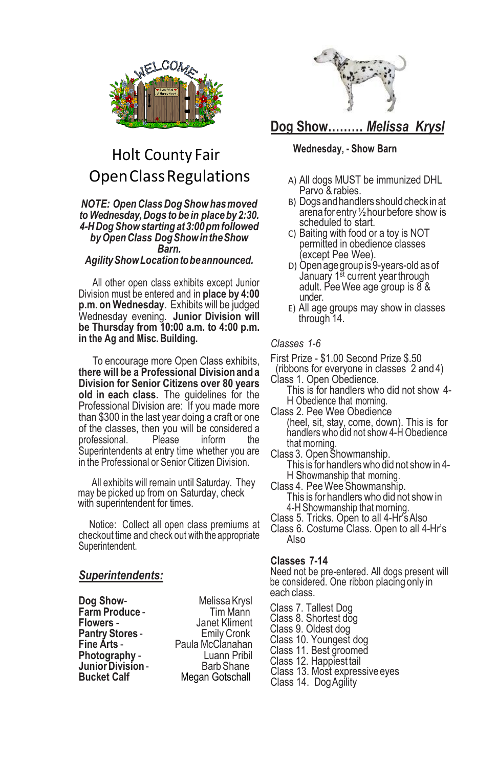

# Holt County Fair OpenClassRegulations

#### *NOTE: OpenClassDog Showhasmoved toWednesday,Dogs to be in placeby 2:30. 4-HDogShowstarting at3:00pmfollowed byOpenClass DogShowintheShow Barn.*

### *AgilityShowLocationtobeannounced.*

All other open class exhibits except Junior Division must be entered and in **place by 4:00 p.m. on Wednesday**. Exhibits will be judged Wednesday evening. **Junior Division will be Thursday from 10:00 a.m. to 4:00 p.m. in the Ag and Misc. Building.**

To encourage more Open Class exhibits, **there will be a Professional Division and a Division for Senior Citizens over 80 years old in each class.** The guidelines for the Professional Division are: If you made more than \$300 in the last year doing a craft or one of the classes, then you will be considered a<br>professional. Please inform the professional. Please inform the Superintendents at entry time whether you are in the Professional or Senior Citizen Division.

All exhibits will remain until Saturday. They may be picked up from on Saturday, check with superintendent for times.

Notice: Collect all open class premiums at checkout time and check out with the appropriate Superintendent.

### *Superintendents:*

**Farm Produce -**<br>Flowers -**Pantry Stores -<br>Fine Arts -Junior Division -<br>Bucket Calf** 

**Dog Show-** Melissa Krysl<br>**Farm Produce -** Tim Mann **Janet Kliment**<br> **Emily Cronk Fine Arts** - Paula McClanahan **Photography - Luann Pribil**<br> **Junior Division - Barb Shane Megan Gotschall** 



## **Dog Show………** *Melissa Krysl*

#### **Wednesday, - Show Barn**

- A) All dogs MUST be immunized DHL Parvo & rabies.
- B) Dogs and handlers should check in at arenaforentry½hourbefore show is scheduled to start.
- C) Baiting with food or a toy is NOT permitted in obedience classes except Pee Wee).
- D) Open age group is 9-years-old as of January 1<sup>st</sup> current year through adult. PeeWee age group is 8 & under.
- E) All age groups may show in classes through 14.

#### *Classes 1-6*

- First Prize \$1.00 Second Prize \$.50
- (ribbons for everyone in classes 2 and 4) Class 1. Open Obedience.

This is for handlers who did not show 4- H Obedience that morning.

Class 2. Pee Wee Obedience (heel, sit, stay, come, down). This is for

handlers who did not show 4-H Obedience that morning. Class 3. OpenShowmanship.

- This is for handlerswho did not showin 4- H Showmanship that morning.
- Class 4. PeeWee Showmanship. This is for handlers who did not show in 4-H Showmanship that morning.
- Class 5. Tricks. Open to all 4-Hr'sAlso
- Class 6. Costume Class. Open to all 4-Hr's Also

#### **Classes 7-14**

Need not be pre-entered. All dogs present will be considered. One ribbon placing only in each class.

Class 7. Tallest Dog Class 8. Shortest dog Class 9. Oldest dog Class 10. Youngest dog Class 11. Best groomed Class 12. Happiest tail Class 13. Most expressiveeyes Class 14. DogAgility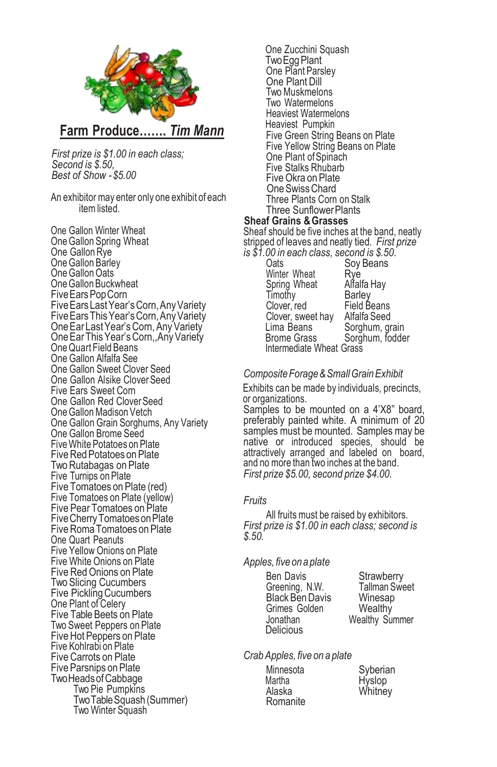

*First prize is \$1.00 in each class; Second is \$.50, Best of Show -\$5.00*

An exhibitor may enter only one exhibit of each itemlisted.

One Gallon Winter Wheat OneGallon Spring Wheat One Gallon Rye One Gallon Barley One Gallon Oats OneGallon Buckwheat FiveEarsPopCorn FiveEarsLastYear'sCorn,AnyVariety FiveEarsThisYear'sCorn,AnyVariety OneEar LastYear'sCorn,AnyVariety OneEarThisYear'sCorn,,AnyVariety OneQuart Field Beans One Gallon Alfalfa See One Gallon Sweet Clover Seed One Gallon Alsike Clover Seed Five Ears Sweet Corn One Gallon Red CloverSeed One Gallon Madison Vetch One Gallon Grain Sorghums, Any Variety One Gallon Brome Seed FiveWhite Potatoes on Plate **Five Red Potatoes on Plate** Two Rutabagas on Plate Five Turnips on Plate Five Tomatoes on Plate (red) Five Tomatoes on Plate (yellow) Five Pear Tomatoes on Plate FiveCherryTomatoesonPlate Five Roma Tomatoes on Plate One Quart Peanuts Five Yellow Onions on Plate Five White Onions on Plate Five RedOnions on Plate Two Slicing Cucumbers Five Pickling Cucumbers One Plant of Celery Five Table Beets on Plate Two Sweet Peppers on Plate FiveHot Peppers on Plate Five Kohlrabi on Plate Five Carrots on Plate Five Parsnips on Plate TwoHeadsofCabbage Two Pie Pumpkins TwoTableSquash (Summer) Two Winter Squash

One Zucchini Squash **Two** Egg Plant One Plant Parsley One Plant Dill Two Muskmelons Two Watermelons Heaviest Watermelons Heaviest Pumpkin Five Green String Beans on Plate Five Yellow String Beans on Plate One Plant of Spinach Five Stalks Rhubarb Five Okra on Plate OneSwissChard Three Plants Corn on Stalk Three SunflowerPlants **Sheaf Grains &Grasses** Sheaf should be five inches at the band, neatly stripped of leaves and neatly tied. *First prize is \$1.00 in each class, second is \$.50*. Soy Beans<br>Rye

Winter Wheat Bye<br>Spring Wheat Alfalfa Hay Spring Wheat Alfalfa Hay Timotȟy<br>Clover. red Field Beans Clover, sweet hay Alfalfa Seed<br>Lima Beans Sorghum, gr Lima Beans Sorghum, grain<br>Brome Grass Sorghum, fodde Sorghum, fodder Intermediate Wheat Grass

#### *CompositeForage&SmallGrainExhibit*

Exhibits can be made by individuals, precincts, or organizations.

Samples to be mounted on a 4'X8" board, preferably painted white. A minimum of 20 samples must be mounted. Samples may be native or introduced species, should be attractively arranged and labeled on board, and no more than two inches at the band. *First prize \$5.00, second prize \$4.00.*

#### *Fruits*

All fruits must be raised by exhibitors. *First prize is \$1.00 in each class; second is \$.50.*

*Apples, five on a plate*

Ben Davis Strawberry Greening, N.W. Tallman S<br>Black Ben Davis Winesap Black Ben Davis Winesap<br>Grimes Golden Wealthy Grimes Golden<br>Jonathan **Delicious** 

Wealthy Summer

*CrabApples, five on a plate*

Minnesota Syberian<br>Martha Hyslop Martha **Hyslop**<br>Alaska Whitney Romanite

Whitney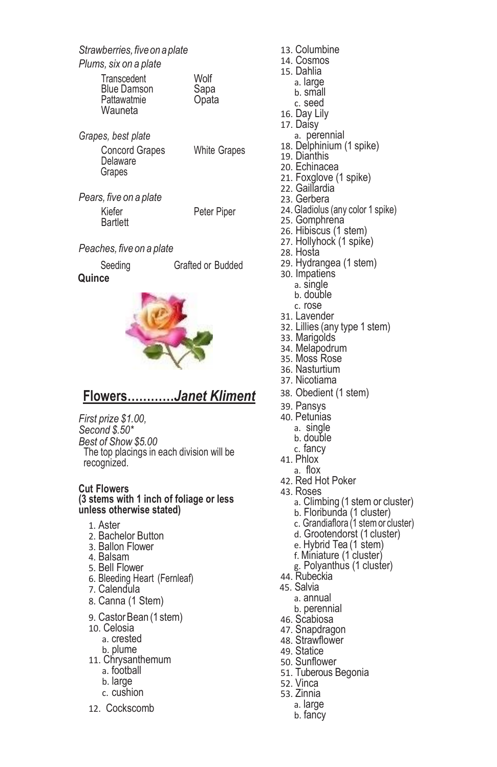*Strawberries,fiveon aplate*

### *Plums, six on a plate*

| Transcedent<br><b>Blue Damson</b><br>Pattawatmie<br>Wauneta | Wolf<br>Sapa<br>Opata |
|-------------------------------------------------------------|-----------------------|
|-------------------------------------------------------------|-----------------------|

| Grapes, best plate                          |                     |
|---------------------------------------------|---------------------|
| <b>Concord Grapes</b><br>Delaware<br>Grapes | <b>White Grapes</b> |

*Pears, five on a plate* Kiefer Piper Peter Piper **Bartlett** 

## *Peaches, five on a plate*

| Seeding |  |
|---------|--|
| 7       |  |

Grafted or Budded

### **Quince**



## **Flowers…………***Janet Kliment*

*First prize \$1.00, Second \$.50\* Best of Show \$5.00* The top placings in each division will be recognized.

#### **Cut Flowers (3 stems with 1 inch of foliage or less unless otherwise stated)**

- 1. Aster
- 2. Bachelor Button
- 3. Ballon Flower
- 4. Balsam
- 5. Bell Flower
- 6. Bleeding Heart (Fernleaf)
- 7. Calendula
- 8. Canna (1 Stem)
- 9. Castor Bean (1 stem)
- 10. Celosia
	- a. crested
	- b. plume
- 11. Chrysanthemum a. football
	- b. large
	- c. cushion
	-
- 12. Cockscomb
- 13. Columbine 14. Cosmos 15. Dahlia a. large b. small c. seed 16. Day Lily 17. Daisy a. perennial 18. Delphinium (1 spike) 19. Dianthis 20. Echinacea 21. Foxglove (1 spike) 22. Gaillardia 23. Gerbera 24.Gladiolus (any color 1 spike) 25. Gomphrena 26. Hibiscus (1 stem) 27. Hollyhock (1 spike) 28. Hosta 29. Hydrangea (1 stem) 30. Impatiens a. single b. double c. rose 31. Lavender 32. Lillies (any type 1 stem) 33. Marigolds 34. Melapodrum 35. Moss Rose 36. Nasturtium 37. Nicotiama 38. Obedient (1 stem) 39. Pansys 40. Petunias a. single b. double c. fancy 41. Phlox a. flox 42. Red Hot Poker 43. Roses a. Climbing (1 stem or cluster) b. Floribunda (1 cluster) c. Grandiaflora (1 stem or cluster) d. Grootendorst (1 cluster) e. Hybrid Tea (1 stem) f. Miniature (1 cluster) g. Polyanthus (1 cluster) 44. Rubeckia 45. Salvia a. annual
	- b. perennial
- 46. Scabiosa
- 47. Snapdragon
- 48. Strawflower
- 49. Statice
- 50. Sunflower
- 51. Tuberous Begonia
- 52. Vinca
- 53. Zinnia
	- a. large
	- b. fancy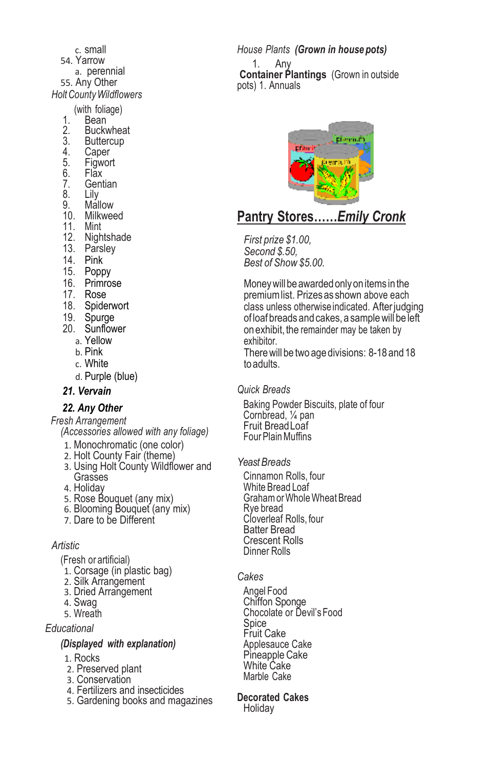- c. small 54. Yarrow a. perennial 55. Any Other *HoltCountyWildflowers* (with foliage)
	-
	- 1. Bean<br>2. Buck
	- 2. Buckwheat<br>3. Buttercup 3. Buttercup<br>4. Caper
	-
	- 4. Caper<br>5. Figwor<br>6. Flax **Figwort**
	-
	- 6. Flăx<br>7. Gent 7. Gentian<br>8. Lilv
	- 8. Lily<br>9 Mali
	- Mallow
	- 10. Milkweed
	- 11. Mint
	- 12. Nightshade
	- 13. Parsley
	- 14. Pink
	- 15. Poppy
	- 16. Primrose
	- 17. Rose
	- 18. Spiderwort
	- 19. Spurge
	- 20. Sunflower
		- a. Yellow
		- b. Pink
		- c. White
		- d. Purple (blue)

#### *21. Vervain*

## *22. Any Other*

*Fresh Arrangement (Accessories allowed with any foliage)*

- 1. Monochromatic (one color)
- 2. Holt County Fair (theme)
- 3. Using Holt County Wildflower and Grasses
- 4. Holiday
- 5. Rose Bouquet (any mix)
- 6. Blooming Bouquet (any mix)
- 7. Dare to be Different

### *Artistic*

- (Fresh or artificial)
- 1. Corsage (in plastic bag)
- 2. Silk Arrangement
- 3. Dried Arrangement
- 4. Swag
- 5. Wreath

### *Educational*

#### *(Displayed with explanation)*

- 1. Rocks
- 2. Preserved plant
- 3. Conservation
- 4. Fertilizers and insecticides
- 5. Gardening books and magazines

*House Plants (Grown in house pots)* 1. Any **Container Plantings** (Grown in outside pots) 1. Annuals



## **Pantry Stores……***Emily Cronk*

*First prize \$1.00, Second \$.50, Best of Show \$5.00.* 

Money will be awarded only on items in the premium list. Prizes as shown above each class unless otherwise indicated. After judging of loaf breads and cakes, a samplewill be left on exhibit, the remainder may be taken by exhibitor. Therewill be two age divisions: 8-18 and 18

to adults.

*Quick Breads*

Baking Powder Biscuits, plate of four Cornbread, ¼ pan Fruit BreadLoaf FourPlainMuffins

*YeastBreads*

Cinnamon Rolls, four White Bread Loaf GrahamorWholeWheatBread Rye bread Cloverleaf Rolls, four Batter Bread Crescent Rolls Dinner Rolls

## *Cakes*

Angel Food Chiffon Sponge Chocolate or Devil's Food Spice Fruit Cake Applesauce Cake Pineapple Cake White Cake Marble Cake

#### **Decorated Cakes**

Holiday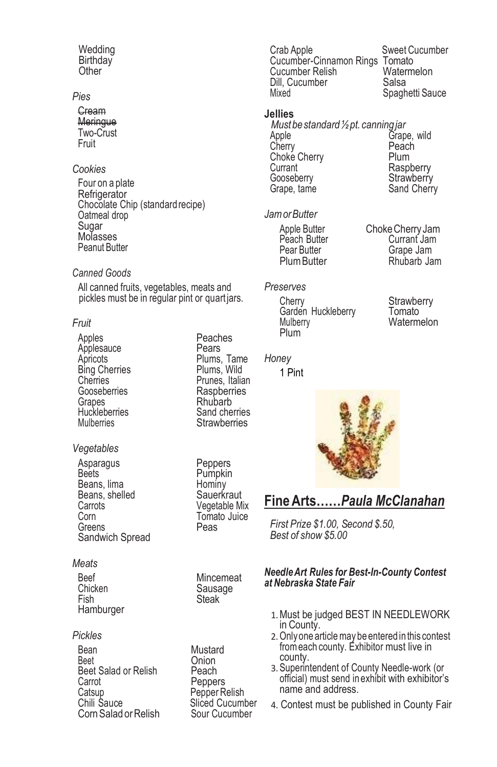#### **Wedding Birthdav Other**

## *Pies*

**Cream** Meringue Two-Crust Fruit

## *Cookies*

Four on a plate **Refrigerator** Chocolate Chip (standard recipe) Oatmeal drop Sugar Molasses Peanut Butter

#### *Canned Goods*

All canned fruits, vegetables, meats and pickles must be in regular pint or quartjars.

#### *Fruit*

Apples<br>Applesauce **Reaches**<br>Pears Applesauce<br>Apricots Bing Cherries<br>Cherries Cherries **Cherries** Prunes, Italian<br>Gooseberries **Raspherries** Gooseberries Raspberries<br>Granes Rhubarb Grapes **Rhubarb**<br>Huckleberries **Reserves** Sand che Huckleberries Sand cherries<br>
Mulberries Strawberries

## *Vegetables*

Asparagus Peppers<br>Beets Pumpkin Beans, lima<br>Beans, shelled **Beans**, shelled Beans, shelled<br>Carrots Carrots **Carrots** Vegetable Mix<br>Corn Tomato Juice Greens Sandwich Spread

#### *Meats*

Beef Mincemeat<br>Chicken Sausage Chicken Sausage<br>Fish Steak **Hamburger** 

### *Pickles*

Bean Mustard<br>Reet Chion Beet Salad or Relish<br>Carrot Catsup<br>Chili Sauce **Chili Sauce**<br>Chili Sauce **Religions** Sliced Cucum Corn Salad or Relish

Plums, Tame<br>Plums, Wild Strawberries

Pumpkin<br>Hominy Tomato Juice<br>Peas

**Steak** 

Onion<br>Peach Peppers Sliced Cucumber<br>Sour Cucumber Crab Apple Sweet Cucumber Cucumber-Cinnamon Rings Tomato<br>Cucumber Relish Watermelon Cucumber Relish <sup>V</sup>ater<br>Dill. Cucumber Calsa Dill, Cucumber<br>Mixed Spaghetti Sauce

#### **Jellies**

*Mustbestandard½pt. canningjar* Grape, wild<br>Peach Cherry Peach<br>Choke Cherry Plum Choke Cherry<br>Currant Currant Currant Raspberry<br>
Gooseberry Cooseberry Gooseberry Strawberry<br>Grape, tame Sand Cherr Sand Cherry

#### *JamorButter*

Peach Butter<br>Pear Butter

## *Preserves*

Cherry Strawberry<br>Garden Huckleberry Tomato Garden Huckleberry<br>Mulberry Plum

*Honey*

1 Pint



Watermelon



## **FineArts……***Paula McClanahan*

*First Prize \$1.00, Second \$.50, Best of show \$5.00*

#### *NeedleArt Rules for Best-In-County Contest at Nebraska State Fair*

- 1.Must be judged BEST IN NEEDLEWORK in County.
- 2.Onlyone articlemay be entered in this contest fromeach county. Exhibitor must live in county.
- 3.Superintendent of County Needle-work (or official) must send in exhibit with exhibitor's name and address.
- 4. Contest must be published in County Fair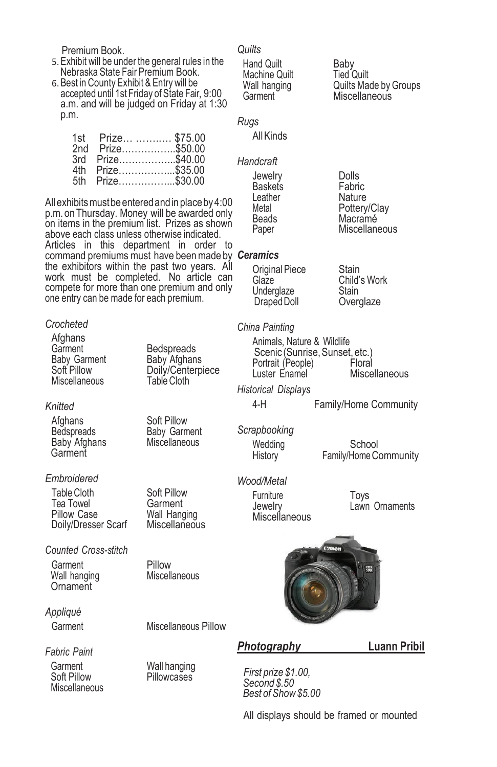Premium Book.

- 5.Exhibit will be under the general rules in the Nebraska State Fair Premium Book.
- 6.Best in County Exhibit & Entry will be accepted until 1st Friday of State Fair, 9:00 a.m. and will be judged on Friday at 1:30 p.m.

|     | 1st Prize  \$75.00 |              |
|-----|--------------------|--------------|
| 2nd |                    | Prize\$50.00 |
| 3rd |                    | Prize\$40.00 |
| 4th |                    | Prize\$35.00 |
|     | 5th Prize\$30.00   |              |

All exhibits must be entered and in place by 4:00 p.m. onThursday. Money will be awarded only on items in the premium list. Prizes as shown above each class unless otherwise indicated. Articles in this department in order to command premiums must have beenmade by *Ceramics* the exhibitors within the past two years. All work must be completed. No article can compete for more than one premium and only one entry can be made for each premium.

#### *Crocheted*

Afghans<br>Garment Garment Bedspreads<br>Baby Garment Baby Afghan Baby Garment Baby Afghans<br>Soft Pillow **Baby Conternant** Miscellaneous

#### *Knitted*

Afghans Soft Pillow<br>Bedspreads Baby Garm Baby Afghans Garment

#### *Embroidered*

Table Cloth Soft Pillow<br>Tea Towel Garment Tea Towel<br>Pillow Case Doily/Dresser Scarf

*Counted Cross-stitch*

Garment Pillow<br>Wall hanging Miscellaneous Wall hanging **Ornament** 

*Appliqué*

Garment Miscellaneous Pillow

Doily/Centerpiece<br>Table Cloth

Baby Garment<br>Miscellaneous

Wall Hanging<br>Miscellaneous

### *Fabric Paint*

Garment Wall hanging<br>
Soft Pillow Pillowcases **Miscellaneous** 

Pillowcases

## *Quilts*

Hand Quilt Baby<br>Machine Quilt Fied Quilt Machine Quilt<br>Wall hanging Wall hanging **Quilts Made by Groups**<br>
Garment **Miscellaneous** 

*Rugs*

AllKinds

#### *Handcraft*

Jewelry Dolls<br>Baskets Fabric Baskets Fabric<br>Leather Nature Leather<br>Metal

Metal **Metal**<br>Beads Macramé Beads Macramé<br>Paper Miscellan Miscellaneous

Miscellaneous

Draped Doll

*China Painting*

Animals, Nature & Wildlife Scenic (Sunrise, Sunset, etc.) Portrait (People) Floral Luster Fnamel Miscellaneous

*Historical Displays* 4-H Family/Home Community

*Scrapbooking*

Wedding School<br>History Family/Home C Family/Home Community

*Wood/Metal*

Furniture Toys<br>
I awnut I awn Miscellaneous

Lawn Ornaments



*Photography* **Luann Pribil**

*First prize \$1.00, Second \$.50 Best of Show\$5.00*

All displays should be framed or mounted

Original Piece Stain<br>Glaze Child' Child's Work<br>Stain Underglaze Stain<br>Draped Doll Overglaze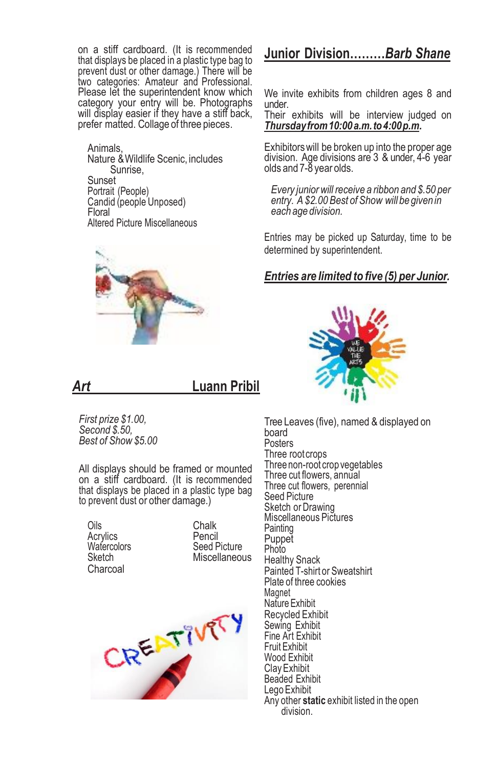on a stiff cardboard. (It is recommended that displays be placed in a plastic type bag to prevent dust or other damage.) There will be two categories: Amateur and Professional. Please let the superintendent know which category your entry will be. Photographs will display easier if they have a stiff back, prefer matted. Collage of three pieces.

Animals, Nature &Wildlife Scenic, includes Sunrise, Sunset Portrait (People) Candid (people Unposed) Floral Altered Picture Miscellaneous



## *Art* **Luann Pribil**

*First prize \$1.00, Second \$.50, Best of Show \$5.00*

All displays should be framed or mounted on a stiff cardboard. (It is recommended that displays be placed in a plastic type bag to prevent dust or other damage.)

Oils Chalk<br>Chalk Chalk Chalk Watercolors<br>Sketch Charcoal

Acrylics Pencil Miscellaneous



## **Junior Division………***Barb Shane*

We invite exhibits from children ages 8 and under.

Their exhibits will be interview judged on *Thursdayfrom10:00a.m.to4:00p.m.*

Exhibitorswill be broken up into the proper age division. Age divisions are 3 & under, 4-6 year olds and 7-8 year olds.

*Every juniorwill receive a ribbon and \$.50 per entry. A \$2.00 Best of Show will be given in each age division.*

Entries may be picked up Saturday, time to be determined by superintendent.

## *Entries are limited to five (5) per Junior.*



Tree Leaves (five), named & displayed on board **Posters** Three root crops Three non-root crop vegetables Three cut flowers, annual Three cut flowers, perennial Seed Picture Sketch or Drawing Miscellaneous Pictures **Painting** Puppet Photo Healthy Snack Painted T-shirt or Sweatshirt Plate of three cookies Magnet NatureExhibit Recycled Exhibit Sewing Exhibit Fine Art Exhibit Fruit Exhibit Wood Exhibit ClayExhibit Beaded Exhibit Lego Exhibit Any other **static** exhibit listed in the open division.